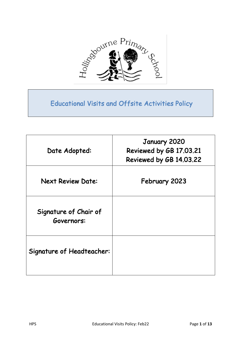

Educational Visits and Offsite Activities Policy

| Date Adopted:                       | January 2020<br>Reviewed by GB 17.03.21<br>Reviewed by GB 14.03.22 |
|-------------------------------------|--------------------------------------------------------------------|
| <b>Next Review Date:</b>            | February 2023                                                      |
| Signature of Chair of<br>Governors: |                                                                    |
| Signature of Headteacher:           |                                                                    |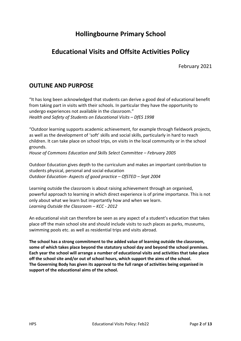## **Hollingbourne Primary School**

# **Educational Visits and Offsite Activities Policy**

February 2021

### **OUTLINE AND PURPOSE**

"It has long been acknowledged that students can derive a good deal of educational benefit from taking part in visits with their schools. In particular they have the opportunity to undergo experiences not available in the classroom." *Health and Safety of Students on Educational Visits – DfES 1998* 

"Outdoor learning supports academic achievement, for example through fieldwork projects, as well as the development of 'soft' skills and social skills, particularly in hard to reach children. It can take place on school trips, on visits in the local community or in the school grounds.

*House of Commons Education and Skills Select Committee – February 2005* 

Outdoor Education gives depth to the curriculum and makes an important contribution to students physical, personal and social education *Outdoor Education- Aspects of good practice – OfSTED – Sept 2004* 

Learning outside the classroom is about raising achievement through an organised, powerful approach to learning in which direct experience is of prime importance. This is not only about what we learn but importantly how and when we learn. *Learning Outside the Classroom – KCC - 2012* 

An educational visit can therefore be seen as any aspect of a student's education that takes place off the main school site and should include visits to such places as parks, museums, swimming pools etc. as well as residential trips and visits abroad.

**The school has a strong commitment to the added value of learning outside the classroom, some of which takes place beyond the statutory school day and beyond the school premises. Each year the school will arrange a number of educational visits and activities that take place off the school site and/or out of school hours, which support the aims of the school. The Governing Body has given its approval to the full range of activities being organised in support of the educational aims of the school.**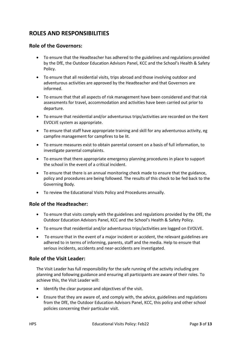### **ROLES AND RESPONSIBILITIES**

#### **Role of the Governors:**

- To ensure that the Headteacher has adhered to the guidelines and regulations provided by the DfE, the Outdoor Education Advisors Panel, KCC and the School's Health & Safety Policy.
- To ensure that all residential visits, trips abroad and those involving outdoor and adventurous activities are approved by the Headteacher and that Governors are informed.
- To ensure that that all aspects of risk management have been considered and that risk assessments for travel, accommodation and activities have been carried out prior to departure.
- To ensure that residential and/or adventurous trips/activities are recorded on the Kent EVOLVE system as appropriate.
- To ensure that staff have appropriate training and skill for any adventurous activity, eg campfire management for campfires to be lit.
- To ensure measures exist to obtain parental consent on a basis of full information, to investigate parental complaints.
- To ensure that there appropriate emergency planning procedures in place to support the school in the event of a critical incident.
- To ensure that there is an annual monitoring check made to ensure that the guidance, policy and procedures are being followed. The results of this check to be fed back to the Governing Body.
- To review the Educational Visits Policy and Procedures annually.

#### **Role of the Headteacher:**

- To ensure that visits comply with the guidelines and regulations provided by the DfE, the Outdoor Education Advisors Panel, KCC and the School's Health & Safety Policy.
- To ensure that residential and/or adventurous trips/activities are logged on EVOLVE.
- To ensure that in the event of a major incident or accident, the relevant guidelines are adhered to in terms of informing, parents, staff and the media. Help to ensure that serious incidents, accidents and near-accidents are investigated.

#### **Role of the Visit Leader:**

The Visit Leader has full responsibility for the safe running of the activity including pre planning and following guidance and ensuring all participants are aware of their roles. To achieve this, the Visit Leader will:

- Identify the clear purpose and objectives of the visit.
- Ensure that they are aware of, and comply with, the advice, guidelines and regulations from the DfE, the Outdoor Education Advisors Panel, KCC, this policy and other school policies concerning their particular visit.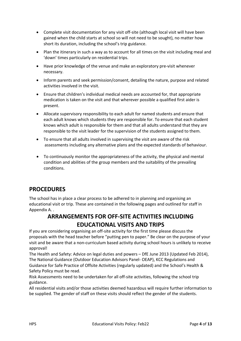- Complete visit documentation for any visit off-site (although local visit will have been gained when the child starts at school so will not need to be sought), no matter how short its duration, including the school's trip guidance.
- Plan the itinerary in such a way as to account for all times on the visit including meal and 'down' times particularly on residential trips.
- Have prior knowledge of the venue and make an exploratory pre-visit whenever necessary.
- Inform parents and seek permission/consent, detailing the nature, purpose and related activities involved in the visit.
- Ensure that children's individual medical needs are accounted for, that appropriate medication is taken on the visit and that wherever possible a qualified first aider is present.
- Allocate supervisory responsibility to each adult for named students and ensure that each adult knows which students they are responsible for. To ensure that each student knows which adult is responsible for them and that all adults understand that they are responsible to the visit leader for the supervision of the students assigned to them.
- To ensure that all adults involved in supervising the visit are aware of the risk assessments including any alternative plans and the expected standards of behaviour.
- To continuously monitor the appropriateness of the activity, the physical and mental condition and abilities of the group members and the suitability of the prevailing conditions.

### **PROCEDURES**

The school has in place a clear process to be adhered to in planning and organising an educational visit or trip. These are contained in the following pages and outlined for staff in Appendix A. .

### **ARRANGEMENTS FOR OFF-SITE ACTIVITIES INCLUDING EDUCATIONAL VISITS AND TRIPS**

If you are considering organising an off-site activity for the first time please discuss the proposals with the head teacher before "putting pen to paper." Be clear on the purpose of your visit and be aware that a non-curriculum based activity during school hours is unlikely to receive approval!

The Health and Safety: Advice on legal duties and powers – DfE June 2013 (Updated Feb 2014), The National Guidance (Outdoor Education Advisors Panel- OEAP), KCC Regulations and Guidance for Safe Practice of Offsite Activities (regularly updated) and the School's Health & Safety Policy must be read.

Risk Assessments need to be undertaken for all off-site activities, following the school trip guidance.

All residential visits and/or those activities deemed hazardous will require further information to be supplied. The gender of staff on these visits should reflect the gender of the students.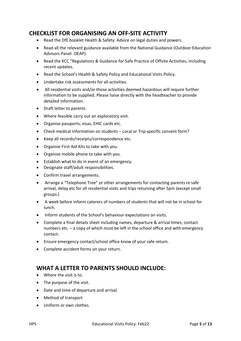### **CHECKLIST FOR ORGANISING AN OFF-SITE ACTIVITY**

- Read the DfE booklet Health & Safety: Advice on legal duties and powers.
- Read all the relevant guidance available from the National Guidance (Outdoor Education Advisors Panel- OEAP).
- Read the KCC "Regulations & Guidance for Safe Practice of Offsite Activities, including recent updates.
- Read the School's Health & Safety Policy and Educational Visits Policy.
- Undertake risk assessments for all activities.
- All residential visits and/or those activities deemed hazardous will require further information to be supplied. Please liaise directly with the headteacher to provide detailed information.
- Draft letter to parents
- Where feasible carry out an exploratory visit.
- Organise passports, visas, EHIC cards etc.
- Check medical information on students Local or Trip specific consent form?
- Keep all records/receipts/correspondence etc.
- Organise First Aid Kits to take with you.
- Organise mobile phone to take with you.
- Establish what to do in event of an emergency.
- Designate staff/adult responsibilities.
- Confirm travel arrangements.
- Arrange a "Telephone Tree" or other arrangements for contacting parents re safe arrival, delay etc for all residential visits and trips returning after 5pm (except small groups.)
- A week before inform caterers of numbers of students that will not be in school for lunch.
- Inform students of the School's behaviour expectations on visits.
- Complete a final details sheet including names, departure & arrival times, contact numbers etc. – a copy of which must be left in the school office and with emergency contact.
- Ensure emergency contact/school office know of your safe return.
- Complete accident forms on your return.

### **WHAT A LETTER TO PARENTS SHOULD INCLUDE:**

- Where the visit is to.
- The purpose of the visit.
- Date and time of departure and arrival.
- Method of transport
- Uniform or own clothes.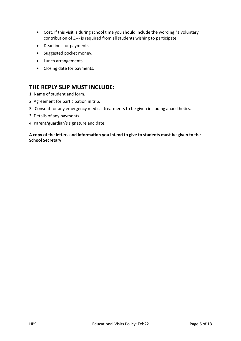- Cost. If this visit is during school time you should include the wording "a voluntary contribution of £--- is required from all students wishing to participate.
- Deadlines for payments.
- Suggested pocket money.
- Lunch arrangements
- Closing date for payments.

### **THE REPLY SLIP MUST INCLUDE:**

- 1. Name of student and form.
- 2. Agreement for participation in trip.
- 3. Consent for any emergency medical treatments to be given including anaesthetics.
- 3. Details of any payments.
- 4. Parent/guardian's signature and date.

#### **A copy of the letters and information you intend to give to students must be given to the School Secretary**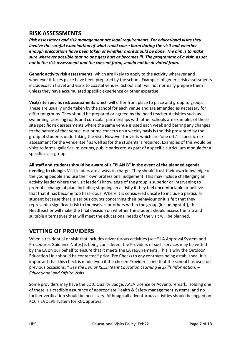### **RISK ASSESSMENTS**

*Risk assessment and risk management are legal requirements. For educational visits they involve the careful examination of what could cause harm during the visit and whether enough precautions have been taken or whether more should be done. The aim is to make sure wherever possible that no one gets hurt or becomes ill. The programme of a visit, as set out in the risk assessment and the consent form, should not be deviated from.*

**Generic activity risk assessments**, which are likely to apply to the activity wherever and whenever it takes place have been prepared by the school. Examples of generic risk assessments includecoach travel and visits to coastal venues. School staff will not normally prepare them unless they have accumulated specific experience or other expertise.

**Visit/site specific risk assessments** which will differ from place to place and group to group. These are usually undertaken by the school for each venue and are amended as necessary for different groups. They should be prepared or agreed by the head teacher.Activities such as swimming, crossing roads and curricular partnerships with other schools are examples of these site specific risk assessments where the same venue is used each week and barring any changes to the nature of that venue, our prime concern on a weekly basis is the risk presented by the group of students undertaking the visit. However for visits which are 'one offs' a specific risk assessment for the venue itself as well as for the students is required. Examples of this would be visits to farms, galleries, museums, public parks etc. as part of a specific curriculum module for a specific class group.

**All staff and students should be aware of a "PLAN B" in the event of the planned agenda needing to change.** Visit leaders are always in charge. They should trust their own knowledge of the young people and use their own professional judgement. This may include challenging an activity leader where the visit leader's knowledge of the group is superior or intervening to prompt a change of plan, including stopping an activity if they feel uncomfortable or believe that that it has become too hazardous. Where it is considered unsafe to include a particular student because there is serious doubts concerning their behaviour or it is felt that they represent a significant risk to themselves or others within the group (including staff), the Headteacher will make the final decision on whether the student should access the trip and suitable alternatives that will meet the educational needs of the visit will be planned.

### **VETTING OF PROVIDERS**

When a residential or visit that includes adventurous activities (see \* LA Approval System and Procedures Guidance Notes) is being considered, the Providers of such services may be vetted by the LA on our behalf to ensure that it meets the LA requirements. This is why the Outdoor Education Unit should be contacted\* prior (Pre Check) to any contracts being established. It is important that this check is made even if the chosen Provider is one that the school has used on previous occasions. \* *See the EVC or KELSI (Kent Education Learning & Skills Information) – Educational and Offsite Visits* 

Some providers may have the LOtC Quality Badge, AALA Licence or Adventuremark. Holding one of these is a credible assurance of appropriate Health & Safety management systems, and no further verification should be necessary. Although all adventurous activities should be logged on KCC's EVOLVE system for KCC approval.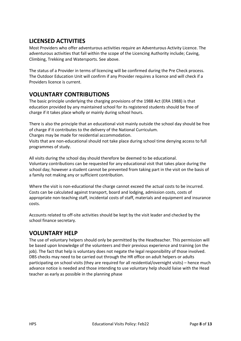### **LICENSED ACTIVITIES**

Most Providers who offer adventurous activities require an Adventurous Activity Licence. The adventurous activities that fall within the scope of the Licencing Authority include; Caving, Climbing, Trekking and Watersports. See above.

The status of a Provider in terms of licencing will be confirmed during the Pre Check process. The Outdoor Education Unit will confirm if any Provider requires a licence and will check if a Providers licence is current.

### **VOLUNTARY CONTRIBUTIONS**

The basic principle underlying the charging provisions of the 1988 Act (ERA 1988) is that education provided by any maintained school for its registered students should be free of charge if it takes place wholly or mainly during school hours.

There is also the principle that an educational visit mainly outside the school day should be free of charge if it contributes to the delivery of the National Curriculum.

Charges may be made for residential accommodation.

Visits that are non-educational should not take place during school time denying access to full programmes of study.

All visits during the school day should therefore be deemed to be educational. Voluntary contributions can be requested for any educational visit that takes place during the school day; however a student cannot be prevented from taking part in the visit on the basis of a family not making any or sufficient contribution.

Where the visit is non-educational the charge cannot exceed the actual costs to be incurred. Costs can be calculated against transport, board and lodging, admission costs, costs of appropriate non-teaching staff, incidental costs of staff, materials and equipment and insurance costs.

Accounts related to off-site activities should be kept by the visit leader and checked by the school finance secretary.

### **VOLUNTARY HELP**

The use of voluntary helpers should only be permitted by the Headteacher. This permission will be based upon knowledge of the volunteers and their previous experience and training (on the job). The fact that help is voluntary does not negate the legal responsibility of those involved. DBS checks may need to be carried out through the HR office on adult helpers or adults participating on school visits (they are required for all residential/overnight visits) – hence much advance notice is needed and those intending to use voluntary help should liaise with the Head teacher as early as possible in the planning phase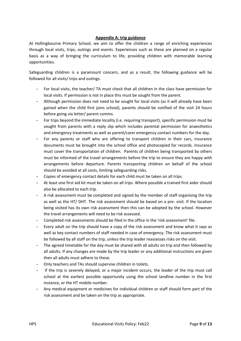#### **Appendix A: trip guidance**

At Hollingbourne Primary School, we aim to offer the children a range of enriching experiences through local visits, trips, outings and events. Experiences such as these are planned on a regular basis as a way of bringing the curriculum to life, providing children with memorable learning opportunities.

Safeguarding children is a paramount concern, and as a result, the following guidance will be followed for all visits/ trips and outings.

- For local visits, the teacher/ TA must check that all children in the class have permission for local visits. If permission is not in place this must be sought from the parent.
- Although permission does not need to be sought for local visits (as it will already have been gained when the child first joins school), parents should be notified of the visit 24 hours before going via letter/ parent comms.
- For trips beyond the immediate locality (i.e. requiring transport), specific permission must be sought from parents with a reply slip which includes parental permission for anaesthetics and emergency treatments as well as parent/carer emergency contact numbers for the day.
- For any parents or staff who are offering to transport children in their cars, insurance documents must be brought into the school office and photocopied for records. Insurance must cover the transportation of children. Parents of children being transported by others must be informed of the travel arrangements before the trip to ensure they are happy with arrangements before departure. Parents transporting children on behalf of the school should be avoided at all costs, limiting safeguarding risks.
- Copies of emergency contact details for each child must be taken on all trips.
- At least one first aid kit must be taken on all trips. Where possible a trained first aider should also be allocated to each trip.
- A risk assessment must be completed and signed by the member of staff organising the trip as well as the HT/ DHT. The risk assessment should be based on a pre- visit. If the location being visited has its own risk assessment then this can be adopted by the school. However the travel arrangements will need to be risk assessed.
- Completed risk assessments should be filed in the office in the 'risk assessment' file.
- Every adult on the trip should have a copy of the risk assessment and know what it says as well as key contact numbers of staff needed in case of emergency. The risk assessment must be followed by all staff on the trip, unless the trip leader reassesses risks on the visit.
- The agreed timetable for the day must be shared with all adults on trip and then followed by all adults. If any changes are made by the trip leader or any additional instructions are given then all adults must adhere to these.
- Only teachers and TAs should supervise children in toilets.
- If the trip is severely delayed, or a major incident occurs, the leader of the trip must call school at the earliest possible opportunity using the school landline number in the first instance, or the HT mobile number.
- Any medical equipment or medicines for individual children or staff should form part of the risk assessment and be taken on the trip as appropriate.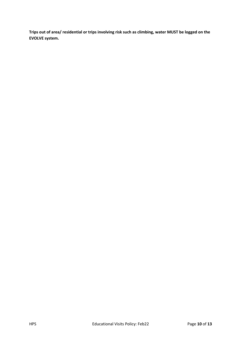**Trips out of area/ residential or trips involving risk such as climbing, water MUST be logged on the EVOLVE system.**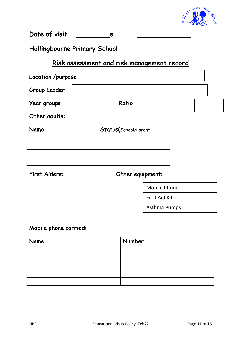

Date of visit  $\vert$   $\vert$   $\vert$   $\vert$   $\vert$   $\vert$   $\vert$ 

Hollingbourne Primary School

# Risk assessment and risk management record

| Location /purpose |       |  |
|-------------------|-------|--|
| Group Leader      |       |  |
| Year groups       | Ratio |  |
| Other adults:     |       |  |

Name Status(School/Parent)

First Aiders: Other equipment:

| <u> 1989 - Andrea Santa Andrea Andrea Andrea Andrea Andrea Andrea Andrea Andrea Andrea Andrea Andrea Andrea Andr</u> |  |  |
|----------------------------------------------------------------------------------------------------------------------|--|--|

### Mobile Phone

First Aid Kit

Asthma Pumps

### Mobile phone carried:

| Name | Number |
|------|--------|
|      |        |
|      |        |
|      |        |
|      |        |
|      |        |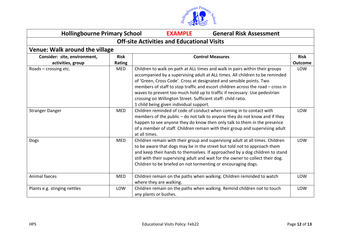

| <b>Hollingbourne Primary School</b>               |             | <b>EXAMPLE</b><br><b>General Risk Assessment</b>                                                                                                                                                                                                                                                                                                                                                                                                                                                               |                |
|---------------------------------------------------|-------------|----------------------------------------------------------------------------------------------------------------------------------------------------------------------------------------------------------------------------------------------------------------------------------------------------------------------------------------------------------------------------------------------------------------------------------------------------------------------------------------------------------------|----------------|
| <b>Off-site Activities and Educational Visits</b> |             |                                                                                                                                                                                                                                                                                                                                                                                                                                                                                                                |                |
| <b>Venue: Walk around the village</b>             |             |                                                                                                                                                                                                                                                                                                                                                                                                                                                                                                                |                |
| Consider: site, environment,                      | <b>Risk</b> | <b>Control Measures</b>                                                                                                                                                                                                                                                                                                                                                                                                                                                                                        | <b>Risk</b>    |
| activities, group                                 | Rating      |                                                                                                                                                                                                                                                                                                                                                                                                                                                                                                                | <b>Outcome</b> |
| Roads - crossing etc.                             | <b>MED</b>  | Children to walk on path at ALL times and walk in pairs within their groups<br>accompanied by a supervising adult at ALL times. All children to be reminded<br>of 'Green, Cross Code'. Cross at designated and sensible points. Two<br>members of staff to stop traffic and escort children across the road - cross in<br>waves to prevent too much hold up to traffic if necessary. Use pedestrian<br>crossing on Willington Street. Sufficient staff-child ratio.<br>1 child being given individual support. | LOW            |
| <b>Stranger Danger</b>                            | <b>MED</b>  | Children reminded of code of conduct when coming in to contact with<br>members of the public - do not talk to anyone they do not know and if they<br>happen to see anyone they do know then only talk to them in the presence<br>of a member of staff. Children remain with their group and supervising adult<br>at all times.                                                                                                                                                                                 | LOW            |
| <b>Dogs</b>                                       | <b>MED</b>  | Children remain with their group and supervising adult at all times. Children<br>to be aware that dogs may be in the street but told not to approach them<br>and keep their hands to themselves. If approached by a dog children to stand<br>still with their supervising adult and wait for the owner to collect their dog.<br>Children to be briefed on not tormenting or encouraging dogs.                                                                                                                  | LOW            |
| Animal faeces                                     | <b>MED</b>  | Children remain on the paths when walking. Children reminded to watch<br>where they are walking.                                                                                                                                                                                                                                                                                                                                                                                                               | LOW            |
| Plants e.g. stinging nettles                      | LOW         | Children remain on the paths when walking. Remind children not to touch<br>any plants or bushes.                                                                                                                                                                                                                                                                                                                                                                                                               | LOW            |